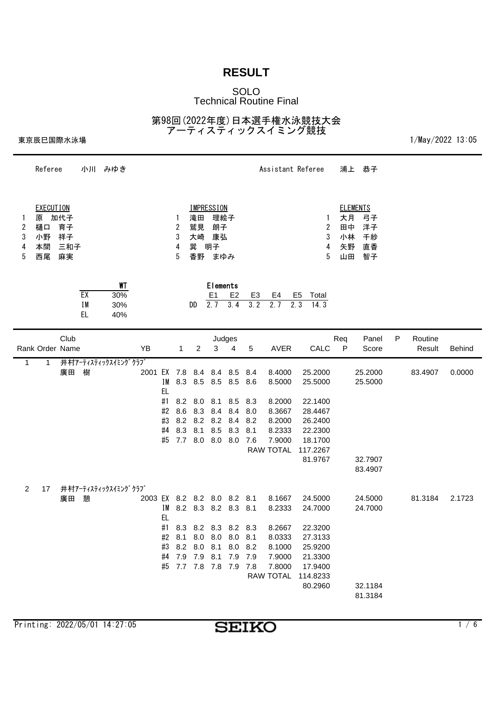#### SOLO Technical Routine Final

第98回(2022年度)日本選手権水泳競技大会 アーティスティックスイミング競技

東京辰巳国際水泳場 2002 13:05

|                       | Referee                                       |                              |                 | 小川 みゆき                  |                             |                                         |                                 |                                         |                                                                                                                                                       |                                 |                                               |                                                                                        | Assistant Referee                                                                                | 浦上                         | 恭子                                            |   |                   |               |
|-----------------------|-----------------------------------------------|------------------------------|-----------------|-------------------------|-----------------------------|-----------------------------------------|---------------------------------|-----------------------------------------|-------------------------------------------------------------------------------------------------------------------------------------------------------|---------------------------------|-----------------------------------------------|----------------------------------------------------------------------------------------|--------------------------------------------------------------------------------------------------|----------------------------|-----------------------------------------------|---|-------------------|---------------|
| 1<br>2<br>3<br>4<br>5 | <b>EXECUTION</b><br>原<br>樋口<br>小野<br>本間<br>西尾 | 加代子<br>育子<br>祥子<br>三和子<br>麻実 |                 |                         |                             |                                         | 1<br>2<br>3<br>4<br>5           | 滝田<br>鷲見<br>大崎<br>巽<br>香野               | <b>IMPRESSION</b><br>理絵子<br>朗子<br>康弘<br>明子<br>まゆみ                                                                                                     |                                 |                                               |                                                                                        | 1<br>$\boldsymbol{2}$<br>3<br>4<br>5                                                             | 大月<br>田中<br>小林<br>矢野<br>山田 | <b>ELEMENTS</b><br>弓子<br>洋子<br>千紗<br>直香<br>智子 |   |                   |               |
|                       |                                               |                              | EX<br>IM<br>EL. | WT<br>30%<br>30%<br>40% |                             |                                         |                                 | DD                                      | Elements<br>E <sub>1</sub><br>$2.\overline{7}$                                                                                                        | E <sub>2</sub><br>3.4           | E3<br>3.2                                     | E4<br>2.7                                                                              | E <sub>5</sub><br>Total<br>2.3<br>14.3                                                           |                            |                                               |   |                   |               |
|                       | Rank Order Name                               | Club                         |                 |                         | YB                          |                                         | $\mathbf{1}$                    | $\overline{2}$                          | Judges<br>3                                                                                                                                           | 4                               | 5                                             | <b>AVER</b>                                                                            | CALC                                                                                             | Req<br>$\mathsf{P}$        | Panel<br>Score                                | P | Routine<br>Result | <b>Behinc</b> |
| 1                     | 1                                             | 廣田                           | 樹               | 井村アーティスティックスイミングクラブ     | 2001 EX 7.8 8.4 8.4 8.5     | I M<br>EL<br>#1<br>#2<br>#3<br>#4<br>#5 | 8.3<br>8.2<br>8.6<br>8.2<br>8.3 | 8.5<br>8.0<br>8.3<br>8.1<br>7.7 8.0 8.0 | 8.5<br>8.1<br>8.4<br>8.2 8.2 8.4<br>8.5                                                                                                               | 8.5<br>8.5<br>8.4<br>8.3<br>8.0 | 8.4<br>8.6<br>8.3<br>8.0<br>8.2<br>8.1<br>7.6 | 8.4000<br>8.5000<br>8.2000<br>8.3667<br>8.2000<br>8.2333<br>7.9000<br><b>RAW TOTAL</b> | 25.2000<br>25.5000<br>22.1400<br>28.4467<br>26.2400<br>22.2300<br>18.1700<br>117.2267<br>81.9767 |                            | 25.2000<br>25.5000<br>32.7907<br>83.4907      |   | 83.4907           | 0.0000        |
| $\overline{2}$        | 17                                            | 廣田                           | 憩               | 井村アーティスティックスイミングクラブ     | 2003 EX 8.2 8.2 8.0 8.2 8.1 | ΙM<br>EL                                |                                 |                                         | 8.2 8.3 8.2 8.3 8.1<br>#1 8.3 8.2 8.3 8.2 8.3<br>#2 8.1 8.0 8.0 8.0 8.1<br>#3 8.2 8.0 8.1 8.0 8.2<br>#4 7.9 7.9 8.1 7.9 7.9<br>#5 7.7 7.8 7.8 7.9 7.8 |                                 |                                               | 8.1667<br>8.2333<br>8.2667<br>8.0333<br>8.1000<br>7.9000<br>7.8000<br>RAW TOTAL        | 24.5000<br>24.7000<br>22.3200<br>27.3133<br>25.9200<br>21.3300<br>17.9400<br>114.8233<br>80.2960 |                            | 24.5000<br>24.7000<br>32.1184<br>81.3184      |   | 81.3184           | 2.1723        |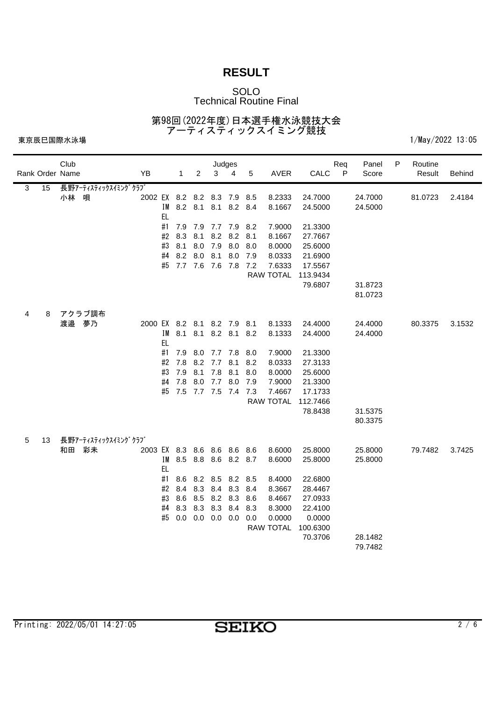### SOLO Technical Routine Final

第98回(2022年度)日本選手権水泳競技大会 アーティスティックスイミング競技

|                | Rank Order Name | Club  |                          | YB                          |                 | $\mathbf{1}$ | 2                 | 3           | Judges<br>4            | 5   | <b>AVER</b>      | CALC               | Req<br>$\mathsf{P}$ | Panel<br>Score     | Р | Routine<br>Result | Behind |
|----------------|-----------------|-------|--------------------------|-----------------------------|-----------------|--------------|-------------------|-------------|------------------------|-----|------------------|--------------------|---------------------|--------------------|---|-------------------|--------|
| $\overline{3}$ | 15              | 小林    | 長野アーティスティックスイミングクラブ<br>唄 | 2002 EX 8.2 8.2 8.3 7.9 8.5 |                 |              |                   |             | IM 8.2 8.1 8.1 8.2 8.4 |     | 8.2333<br>8.1667 | 24.7000<br>24.5000 |                     | 24.7000<br>24.5000 |   | 81.0723           | 2.4184 |
|                |                 |       |                          |                             | <b>EL</b><br>#1 |              |                   |             | 7.9 7.9 7.7 7.9 8.2    |     | 7.9000           | 21.3300            |                     |                    |   |                   |        |
|                |                 |       |                          |                             | #2              | 8.3          | 8.1               |             | 8.2 8.2 8.1            |     | 8.1667           | 27.7667            |                     |                    |   |                   |        |
|                |                 |       |                          |                             | #3              | 8.1          |                   | 8.0 7.9     | 8.0                    | 8.0 | 8.0000           | 25.6000            |                     |                    |   |                   |        |
|                |                 |       |                          |                             | #4              | 8.2          |                   | 8.0 8.1     | 8.0                    | 7.9 | 8.0333           | 21.6900            |                     |                    |   |                   |        |
|                |                 |       |                          |                             |                 |              |                   |             | #5 7.7 7.6 7.6 7.8 7.2 |     | 7.6333           | 17.5567            |                     |                    |   |                   |        |
|                |                 |       |                          |                             |                 |              |                   |             |                        |     | RAW TOTAL        | 113.9434           |                     |                    |   |                   |        |
|                |                 |       |                          |                             |                 |              |                   |             |                        |     |                  | 79.6807            |                     | 31.8723            |   |                   |        |
|                |                 |       |                          |                             |                 |              |                   |             |                        |     |                  |                    |                     | 81.0723            |   |                   |        |
| 4              | 8               |       | アクラブ調布                   |                             |                 |              |                   |             |                        |     |                  |                    |                     |                    |   |                   |        |
|                |                 | 渡邉 夢乃 |                          | 2000 EX 8.2 8.1 8.2 7.9 8.1 |                 |              |                   |             |                        |     | 8.1333           | 24.4000            |                     | 24.4000            |   | 80.3375           | 3.1532 |
|                |                 |       |                          |                             | IM              | 8.1          |                   |             | 8.1 8.2 8.1 8.2        |     | 8.1333           | 24.4000            |                     | 24.4000            |   |                   |        |
|                |                 |       |                          |                             | <b>EL</b>       |              |                   |             |                        |     |                  |                    |                     |                    |   |                   |        |
|                |                 |       |                          |                             | #1              | 7.9          |                   |             | 8.0 7.7 7.8 8.0        |     | 7.9000           | 21.3300            |                     |                    |   |                   |        |
|                |                 |       |                          |                             | #2              | 7.8          |                   | 8.2 7.7     | 8.1                    | 8.2 | 8.0333           | 27.3133            |                     |                    |   |                   |        |
|                |                 |       |                          |                             | #3              | 7.9          | 8.1               | 7.8         | 8.1                    | 8.0 | 8.0000           | 25.6000            |                     |                    |   |                   |        |
|                |                 |       |                          |                             | #4              | 7.8          |                   | 8.0 7.7 8.0 |                        | 7.9 | 7.9000           | 21.3300            |                     |                    |   |                   |        |
|                |                 |       |                          |                             | #5              |              |                   |             | 7.5 7.7 7.5 7.4 7.3    |     | 7.4667           | 17.1733            |                     |                    |   |                   |        |
|                |                 |       |                          |                             |                 |              |                   |             |                        |     | <b>RAW TOTAL</b> | 112.7466           |                     |                    |   |                   |        |
|                |                 |       |                          |                             |                 |              |                   |             |                        |     |                  | 78.8438            |                     | 31.5375            |   |                   |        |
|                |                 |       |                          |                             |                 |              |                   |             |                        |     |                  |                    |                     | 80.3375            |   |                   |        |
| 5              | 13              |       | 長野アーティスティックスイミングクラブ      |                             |                 |              |                   |             |                        |     |                  |                    |                     |                    |   |                   |        |
|                |                 | 和田    | 彩未                       | 2003 EX 8.3 8.6 8.6 8.6 8.6 |                 |              |                   |             |                        |     | 8.6000           | 25.8000            |                     | 25.8000            |   | 79.7482           | 3.7425 |
|                |                 |       |                          |                             | IM              |              |                   |             | 8.5 8.8 8.6 8.2 8.7    |     | 8.6000           | 25.8000            |                     | 25.8000            |   |                   |        |
|                |                 |       |                          |                             | EL.             |              |                   |             |                        |     |                  |                    |                     |                    |   |                   |        |
|                |                 |       |                          |                             | #1              |              |                   |             | 8.6 8.2 8.5 8.2 8.5    |     | 8.4000           | 22.6800            |                     |                    |   |                   |        |
|                |                 |       |                          |                             | #2              | 8.4          |                   | 8.3 8.4 8.3 |                        | 8.4 | 8.3667           | 28.4467            |                     |                    |   |                   |        |
|                |                 |       |                          |                             | #3              |              |                   |             | 8.6 8.5 8.2 8.3 8.6    |     | 8.4667           | 27.0933            |                     |                    |   |                   |        |
|                |                 |       |                          |                             | #4              | 8.3          |                   | 8.3 8.3 8.4 |                        | 8.3 | 8.3000           | 22.4100            |                     |                    |   |                   |        |
|                |                 |       |                          |                             | #5              |              | $0.0$ 0.0 0.0 0.0 |             |                        | 0.0 | 0.0000           | 0.0000             |                     |                    |   |                   |        |
|                |                 |       |                          |                             |                 |              |                   |             |                        |     | RAW TOTAL        | 100.6300           |                     |                    |   |                   |        |
|                |                 |       |                          |                             |                 |              |                   |             |                        |     |                  | 70.3706            |                     | 28.1482            |   |                   |        |
|                |                 |       |                          |                             |                 |              |                   |             |                        |     |                  |                    |                     | 79.7482            |   |                   |        |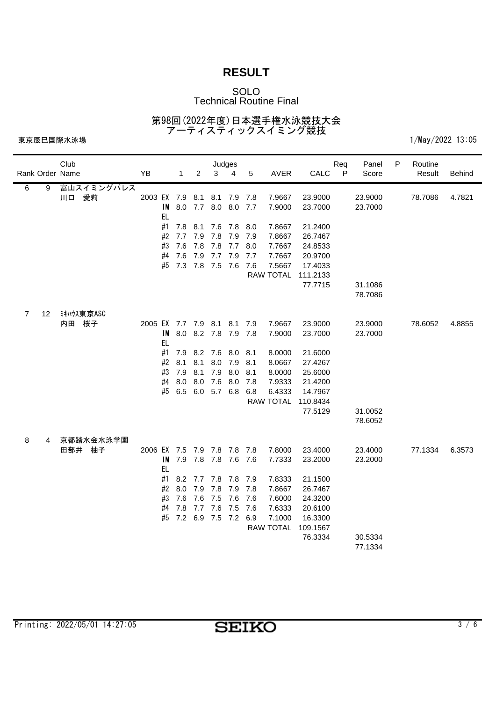### SOLO Technical Routine Final

第98回(2022年度)日本選手権水泳競技大会 アーティスティックスイミング競技

|                |    | Club<br>Rank Order Name | YB                                       | $\mathbf{1}$           | $\overline{2}$             | 3                      | Judges<br>$\overline{4}$ | 5          | <b>AVER</b>                | CALC                | Req<br>$\mathsf{P}$ | Panel<br>Score     | P | Routine<br>Result | <b>Behind</b> |
|----------------|----|-------------------------|------------------------------------------|------------------------|----------------------------|------------------------|--------------------------|------------|----------------------------|---------------------|---------------------|--------------------|---|-------------------|---------------|
| 6              | 9  | 富山スイミングパレス<br>川口 愛莉     | 2003 EX 7.9 8.1 8.1 7.9 7.8<br><b>EL</b> | IM 8.0 7.7 8.0 8.0 7.7 |                            |                        |                          |            | 7.9667<br>7.9000           | 23.9000<br>23.7000  |                     | 23.9000<br>23.7000 |   | 78.7086           | 4.7821        |
|                |    |                         | #1<br>#2                                 | 7.7                    | 7.8 8.1 7.6 7.8 8.0<br>7.9 | 7.8 7.9 7.9            |                          |            | 7.8667<br>7.8667           | 21.2400<br>26.7467  |                     |                    |   |                   |               |
|                |    |                         | #3<br>#4                                 | 7.6<br>7.6             | 7.8<br>7.9                 | 7.8<br>7.7 7.9         | 7.7 8.0                  | 7.7        | 7.7667<br>7.7667           | 24.8533<br>20.9700  |                     |                    |   |                   |               |
|                |    |                         |                                          | #5 7.3 7.8 7.5 7.6 7.6 |                            |                        |                          |            | 7.5667<br>RAW TOTAL        | 17.4033<br>111.2133 |                     |                    |   |                   |               |
|                |    |                         |                                          |                        |                            |                        |                          |            |                            | 77.7715             |                     | 31.1086<br>78.7086 |   |                   |               |
| $\overline{7}$ | 12 | ミキハウス東京ASC<br>内田 桜子     | 2005 EX 7.7 7.9 8.1 8.1 7.9              |                        |                            |                        |                          |            | 7.9667                     | 23.9000             |                     | 23.9000            |   | 78.6052           | 4.8855        |
|                |    |                         | <b>EL</b>                                | IM                     | 8.0 8.2 7.8 7.9 7.8        |                        |                          |            | 7.9000                     | 23.7000             |                     | 23.7000            |   |                   |               |
|                |    |                         | #1<br>#2                                 | 7.9<br>8.1             | 8.1                        | 8.2 7.6 8.0 8.1        | 8.0 7.9                  | 8.1        | 8.0000<br>8.0667           | 21.6000<br>27.4267  |                     |                    |   |                   |               |
|                |    |                         | #3<br>#4                                 | 7.9<br>8.0             | 8.1<br>8.0                 | 7.9<br>7.6 8.0         | 8.0                      | 8.1<br>7.8 | 8.0000<br>7.9333           | 25.6000<br>21.4200  |                     |                    |   |                   |               |
|                |    |                         | #5                                       | 6.5                    |                            | 6.0 5.7 6.8            |                          | 6.8        | 6.4333<br><b>RAW TOTAL</b> | 14.7967<br>110.8434 |                     |                    |   |                   |               |
|                |    |                         |                                          |                        |                            |                        |                          |            |                            | 77.5129             |                     | 31.0052<br>78.6052 |   |                   |               |
| 8              | 4  | 京都踏水会水泳学園<br>田部井 柚子     | 2006 EX 7.5 7.9 7.8 7.8 7.8              |                        |                            |                        |                          |            | 7.8000                     | 23.4000             |                     | 23.4000            |   | 77.1334           | 6.3573        |
|                |    |                         | <b>EL</b>                                | IM                     | 7.9 7.8 7.8 7.6 7.6        |                        |                          |            | 7.7333                     | 23.2000             |                     | 23.2000            |   |                   |               |
|                |    |                         | #1<br>#2                                 | 8.0                    | 8.2 7.7 7.8 7.8 7.9<br>7.9 | 7.8                    | 7.9                      | 7.8        | 7.8333<br>7.8667           | 21.1500<br>26.7467  |                     |                    |   |                   |               |
|                |    |                         | #3<br>#4                                 | 7.6<br>7.8             | 7.6                        | 7.5 7.6<br>7.7 7.6 7.5 |                          | 7.6<br>7.6 | 7.6000<br>7.6333           | 24.3200<br>20.6100  |                     |                    |   |                   |               |
|                |    |                         |                                          | #5                     | 7.2 6.9 7.5 7.2 6.9        |                        |                          |            | 7.1000<br>RAW TOTAL        | 16.3300<br>109.1567 |                     |                    |   |                   |               |
|                |    |                         |                                          |                        |                            |                        |                          |            |                            | 76.3334             |                     | 30.5334<br>77.1334 |   |                   |               |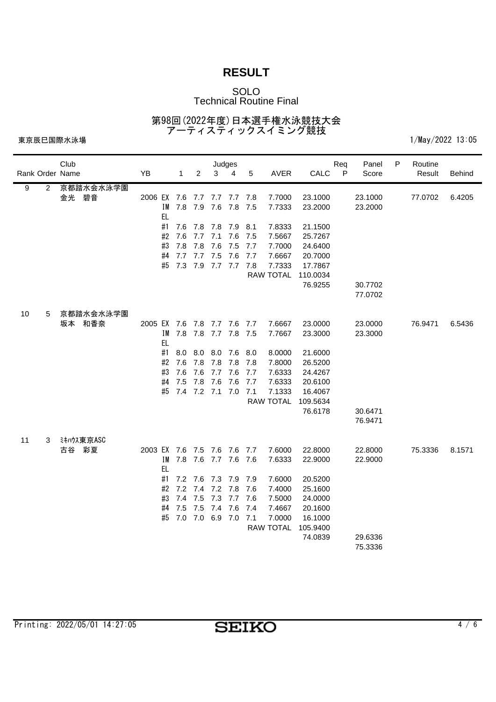### SOLO Technical Routine Final

第98回(2022年度)日本選手権水泳競技大会 アーティスティックスイミング競技

| Rank Order Name                  | Club               | YB                          |                 | $\mathbf{1}$ | $\overline{2}$ | 3           | Judges<br>4         | 5     | <b>AVER</b>      | CALC               | Req<br>$\mathsf{P}$ | Panel<br>Score     | P | Routine<br>Result | <b>Behind</b> |
|----------------------------------|--------------------|-----------------------------|-----------------|--------------|----------------|-------------|---------------------|-------|------------------|--------------------|---------------------|--------------------|---|-------------------|---------------|
| $\overline{9}$<br>$\overline{2}$ | 京都踏水会水泳学園<br>金光 碧音 | 2006 EX 7.6 7.7 7.7 7.7 7.8 |                 | IM 7.8 7.9   |                |             | 7.6 7.8 7.5         |       | 7.7000<br>7.7333 | 23.1000<br>23.2000 |                     | 23.1000<br>23.2000 |   | 77.0702           | 6.4205        |
|                                  |                    |                             | <b>EL</b><br>#1 |              |                |             | 7.6 7.8 7.8 7.9 8.1 |       | 7.8333           | 21.1500            |                     |                    |   |                   |               |
|                                  |                    |                             | #2              | 7.6          |                | 7.7 7.1 7.6 |                     | 7.5   | 7.5667           | 25.7267            |                     |                    |   |                   |               |
|                                  |                    |                             | #3              | 7.8          | 7.8            | 7.6         | 7.5                 | 7.7   | 7.7000           | 24.6400            |                     |                    |   |                   |               |
|                                  |                    |                             | #4              | 7.7          | 7.7 7.5        |             | 7.6                 | 7.7   | 7.6667           | 20.7000            |                     |                    |   |                   |               |
|                                  |                    |                             | #5              |              |                |             | 7.3 7.9 7.7 7.7 7.8 |       | 7.7333           | 17.7867            |                     |                    |   |                   |               |
|                                  |                    |                             |                 |              |                |             |                     |       | <b>RAW TOTAL</b> | 110.0034           |                     |                    |   |                   |               |
|                                  |                    |                             |                 |              |                |             |                     |       |                  | 76.9255            |                     | 30.7702            |   |                   |               |
|                                  |                    |                             |                 |              |                |             |                     |       |                  |                    |                     | 77.0702            |   |                   |               |
| 10<br>5                          | 京都踏水会水泳学園          |                             |                 |              |                |             |                     |       |                  |                    |                     |                    |   |                   |               |
|                                  | 坂本 和香奈             | 2005 EX 7.6 7.8 7.7 7.6 7.7 |                 |              |                |             |                     |       | 7.6667           | 23.0000            |                     | 23.0000            |   | 76.9471           | 6.5436        |
|                                  |                    |                             | IM              |              |                |             | 7.8 7.8 7.7 7.8 7.5 |       | 7.7667           | 23.3000            |                     | 23.3000            |   |                   |               |
|                                  |                    |                             | <b>EL</b>       |              |                |             |                     |       |                  |                    |                     |                    |   |                   |               |
|                                  |                    |                             | #1              | 8.0          |                |             | 8.0 8.0 7.6 8.0     |       | 8.0000           | 21.6000            |                     |                    |   |                   |               |
|                                  |                    |                             | #2              | 7.6          | 7.8            | 7.8         | 7.8                 | - 7.8 | 7.8000           | 26.5200            |                     |                    |   |                   |               |
|                                  |                    |                             | #3              | 7.6          | 7.6            | 7.7         | 7.6                 | 7.7   | 7.6333           | 24.4267            |                     |                    |   |                   |               |
|                                  |                    |                             | #4              | 7.5          | 7.8            | 7.6         | 7.6                 | 7.7   | 7.6333           | 20.6100            |                     |                    |   |                   |               |
|                                  |                    |                             | #5              |              |                |             | 7.4 7.2 7.1 7.0 7.1 |       | 7.1333           | 16.4067            |                     |                    |   |                   |               |
|                                  |                    |                             |                 |              |                |             |                     |       | RAW TOTAL        | 109.5634           |                     |                    |   |                   |               |
|                                  |                    |                             |                 |              |                |             |                     |       |                  | 76.6178            |                     | 30.6471            |   |                   |               |
|                                  |                    |                             |                 |              |                |             |                     |       |                  |                    |                     | 76.9471            |   |                   |               |
| 11<br>3                          | ミキハウス東京ASC         |                             |                 |              |                |             |                     |       |                  |                    |                     |                    |   |                   |               |
|                                  | 古谷 彩夏              | 2003 EX 7.6 7.5 7.6 7.6 7.7 |                 |              |                |             |                     |       | 7.6000           | 22.8000            |                     | 22.8000            |   | 75.3336           | 8.1571        |
|                                  |                    |                             | ΙM              |              |                |             | 7.8 7.6 7.7 7.6 7.6 |       | 7.6333           | 22.9000            |                     | 22.9000            |   |                   |               |
|                                  |                    |                             | EL.             |              |                |             |                     |       |                  |                    |                     |                    |   |                   |               |
|                                  |                    |                             | #1              | 7.2          | 7.2 7.6<br>7.4 | 7.2 7.8     | 7.3 7.9 7.9         |       | 7.6000           | 20.5200            |                     |                    |   |                   |               |
|                                  |                    |                             | #2<br>#3        | 7.4          | 7.5            |             | 7.3 7.7 7.6         | 7.6   | 7.4000<br>7.5000 | 25.1600<br>24.0000 |                     |                    |   |                   |               |
|                                  |                    |                             | #4              | 7.5          | 7.5            | 7.4 7.6     |                     | 7.4   | 7.4667           | 20.1600            |                     |                    |   |                   |               |
|                                  |                    |                             | #5              |              |                |             | 7.0 7.0 6.9 7.0 7.1 |       | 7.0000           | 16.1000            |                     |                    |   |                   |               |
|                                  |                    |                             |                 |              |                |             |                     |       | RAW TOTAL        | 105.9400           |                     |                    |   |                   |               |
|                                  |                    |                             |                 |              |                |             |                     |       |                  | 74.0839            |                     | 29.6336            |   |                   |               |
|                                  |                    |                             |                 |              |                |             |                     |       |                  |                    |                     | 75.3336            |   |                   |               |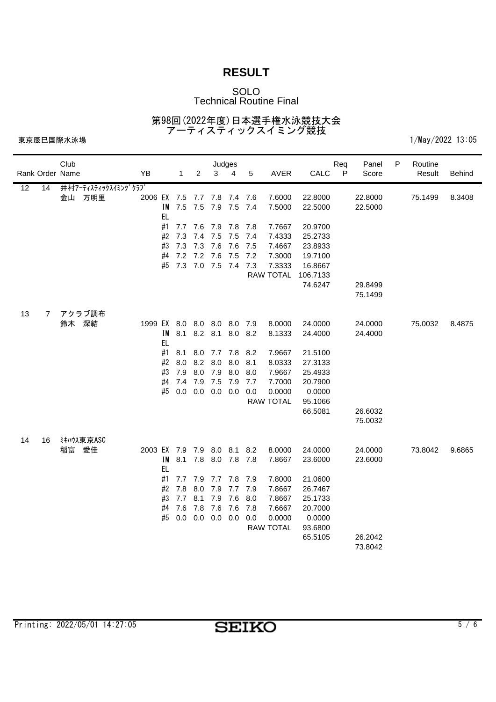### SOLO Technical Routine Final

第98回(2022年度)日本選手権水泳競技大会 アーティスティックスイミング競技

|                 |                 | Club            |                     |                             |           |              |         | Judges                 |                |      |                  |                     | Req          | Panel   | P | Routine |               |
|-----------------|-----------------|-----------------|---------------------|-----------------------------|-----------|--------------|---------|------------------------|----------------|------|------------------|---------------------|--------------|---------|---|---------|---------------|
|                 |                 | Rank Order Name |                     | YB                          |           | $\mathbf{1}$ | 2       | 3                      | $\overline{4}$ | 5    | <b>AVER</b>      | CALC                | $\mathsf{P}$ | Score   |   | Result  | <b>Behind</b> |
| $\overline{12}$ | $\overline{14}$ |                 | 井村アーティスティックスイミングクラブ |                             |           |              |         |                        |                |      |                  |                     |              |         |   |         |               |
|                 |                 |                 | 金山 万明里              | 2006 EX 7.5 7.7 7.8 7.4 7.6 |           |              |         |                        |                |      | 7.6000           | 22.8000             |              | 22.8000 |   | 75.1499 | 8.3408        |
|                 |                 |                 |                     |                             |           | IM 7.5 7.5   |         | 7.9 7.5 7.4            |                |      | 7.5000           | 22.5000             |              | 22.5000 |   |         |               |
|                 |                 |                 |                     |                             | <b>EL</b> |              |         |                        |                |      |                  |                     |              |         |   |         |               |
|                 |                 |                 |                     |                             | #1        |              |         | 7.7 7.6 7.9 7.8 7.8    |                |      | 7.7667           | 20.9700             |              |         |   |         |               |
|                 |                 |                 |                     |                             | #2        | 7.3          | 7.4 7.5 |                        | 7.5            | -7.4 | 7.4333           | 25.2733             |              |         |   |         |               |
|                 |                 |                 |                     |                             | #3        | 7.3          | 7.3     | 7.6                    | 7.6            | 7.5  | 7.4667           | 23.8933             |              |         |   |         |               |
|                 |                 |                 |                     |                             | #4        | 7.2 7.2 7.6  |         |                        | 7.5            | 7.2  | 7.3000           | 19.7100             |              |         |   |         |               |
|                 |                 |                 |                     |                             |           |              |         | #5 7.3 7.0 7.5 7.4 7.3 |                |      | 7.3333           | 16.8667             |              |         |   |         |               |
|                 |                 |                 |                     |                             |           |              |         |                        |                |      | <b>RAW TOTAL</b> | 106.7133<br>74.6247 |              | 29.8499 |   |         |               |
|                 |                 |                 |                     |                             |           |              |         |                        |                |      |                  |                     |              | 75.1499 |   |         |               |
|                 |                 |                 |                     |                             |           |              |         |                        |                |      |                  |                     |              |         |   |         |               |
| 13              | 7               |                 | アクラブ調布              |                             |           |              |         |                        |                |      |                  |                     |              |         |   |         |               |
|                 |                 | 鈴木 深結           |                     | 1999 EX 8.0 8.0 8.0 8.0 7.9 |           |              |         |                        |                |      | 8.0000           | 24.0000             |              | 24.0000 |   | 75.0032 | 8.4875        |
|                 |                 |                 |                     |                             | I M       | 8.1          |         | 8.2 8.1 8.0 8.2        |                |      | 8.1333           | 24.4000             |              | 24.4000 |   |         |               |
|                 |                 |                 |                     |                             | EL.       |              |         |                        |                |      |                  |                     |              |         |   |         |               |
|                 |                 |                 |                     |                             | #1        | 8.1          |         | 8.0 7.7 7.8 8.2        |                |      | 7.9667           | 21.5100             |              |         |   |         |               |
|                 |                 |                 |                     |                             | #2        | 8.0          | 8.2 8.0 |                        | 8.0            | 8.1  | 8.0333           | 27.3133             |              |         |   |         |               |
|                 |                 |                 |                     |                             | #3        | 7.9          | 8.0     | 7.9                    | 8.0            | 8.0  | 7.9667           | 25.4933             |              |         |   |         |               |
|                 |                 |                 |                     |                             | #4        | 7.4          | 7.9 7.5 |                        | 7.9            | 7.7  | 7.7000           | 20.7900             |              |         |   |         |               |
|                 |                 |                 |                     |                             | #5        | 0.0          | 0.0     | $0.0\quad 0.0$         |                | 0.0  | 0.0000           | 0.0000              |              |         |   |         |               |
|                 |                 |                 |                     |                             |           |              |         |                        |                |      | <b>RAW TOTAL</b> | 95.1066             |              |         |   |         |               |
|                 |                 |                 |                     |                             |           |              |         |                        |                |      |                  | 66.5081             |              | 26.6032 |   |         |               |
|                 |                 |                 |                     |                             |           |              |         |                        |                |      |                  |                     |              | 75.0032 |   |         |               |
|                 |                 |                 |                     |                             |           |              |         |                        |                |      |                  |                     |              |         |   |         |               |
| 14              | 16              | 稲富 愛佳           | ミキハウス東京ASC          | 2003 EX 7.9 7.9 8.0 8.1 8.2 |           |              |         |                        |                |      | 8.0000           | 24.0000             |              | 24.0000 |   | 73.8042 | 9.6865        |
|                 |                 |                 |                     |                             | ΙM        |              |         | 8.1 7.8 8.0 7.8 7.8    |                |      | 7.8667           | 23.6000             |              | 23.6000 |   |         |               |
|                 |                 |                 |                     |                             | <b>EL</b> |              |         |                        |                |      |                  |                     |              |         |   |         |               |
|                 |                 |                 |                     |                             | #1        | 7.7          |         | 7.9 7.7 7.8 7.9        |                |      | 7.8000           | 21.0600             |              |         |   |         |               |
|                 |                 |                 |                     |                             | #2        | 7.8          | 8.0     | 7.9                    | 7.7 7.9        |      | 7.8667           | 26.7467             |              |         |   |         |               |
|                 |                 |                 |                     |                             | #3        | $7.7$ 8.1    |         | 7.9                    | 7.6            | 8.0  | 7.8667           | 25.1733             |              |         |   |         |               |
|                 |                 |                 |                     |                             | #4        | 7.6          | 7.8     | 7.6                    | 7.6            | 7.8  | 7.6667           | 20.7000             |              |         |   |         |               |
|                 |                 |                 |                     |                             | #5        |              |         | $0.0$ 0.0 0.0 0.0      |                | 0.0  | 0.0000           | 0.0000              |              |         |   |         |               |
|                 |                 |                 |                     |                             |           |              |         |                        |                |      | <b>RAW TOTAL</b> | 93.6800             |              |         |   |         |               |
|                 |                 |                 |                     |                             |           |              |         |                        |                |      |                  | 65.5105             |              | 26.2042 |   |         |               |
|                 |                 |                 |                     |                             |           |              |         |                        |                |      |                  |                     |              | 73.8042 |   |         |               |